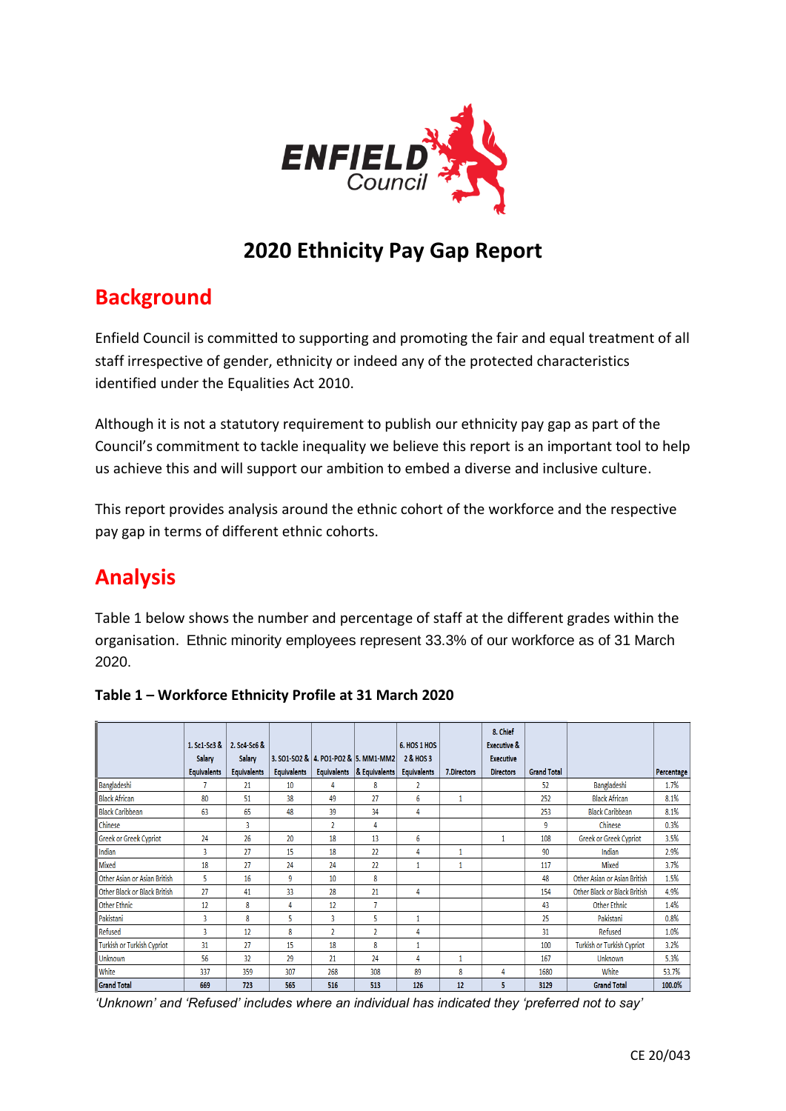

# **2020 Ethnicity Pay Gap Report**

# **Background**

Enfield Council is committed to supporting and promoting the fair and equal treatment of all staff irrespective of gender, ethnicity or indeed any of the protected characteristics identified under the Equalities Act 2010.

Although it is not a statutory requirement to publish our ethnicity pay gap as part of the Council's commitment to tackle inequality we believe this report is an important tool to help us achieve this and will support our ambition to embed a diverse and inclusive culture.

This report provides analysis around the ethnic cohort of the workforce and the respective pay gap in terms of different ethnic cohorts.

# **Analysis**

Table 1 below shows the number and percentage of staff at the different grades within the organisation. Ethnic minority employees represent 33.3% of our workforce as of 31 March 2020.

|                               |                    |                    |                    |                |                                          |                    |              | 8. Chief               |                    |                                     |            |
|-------------------------------|--------------------|--------------------|--------------------|----------------|------------------------------------------|--------------------|--------------|------------------------|--------------------|-------------------------------------|------------|
|                               | 1. Sc1-Sc3 &       | 2. Sc4-Sc6 &       |                    |                |                                          | 6. HOS 1 HOS       |              | <b>Executive &amp;</b> |                    |                                     |            |
|                               | <b>Salary</b>      | <b>Salary</b>      |                    |                | 3. SO1-SO2 &   4. PO1-PO2 &   5. MM1-MM2 | 2 & HOS 3          |              | <b>Executive</b>       |                    |                                     |            |
|                               | <b>Equivalents</b> | <b>Equivalents</b> | <b>Equivalents</b> |                | Equivalents   & Equivalents              | <b>Equivalents</b> | 7.Directors  | <b>Directors</b>       | <b>Grand Total</b> |                                     | Percentage |
| Bangladeshi                   |                    | 21                 | 10                 |                | 8                                        | 2                  |              |                        | 52                 | Bangladeshi                         | 1.7%       |
| <b>Black African</b>          | 80                 | 51                 | 38                 | 49             | 27                                       | 6                  | $\mathbf{1}$ |                        | 252                | <b>Black African</b>                | 8.1%       |
| <b>Black Caribbean</b>        | 63                 | 65                 | 48                 | 39             | 34                                       | 4                  |              |                        | 253                | <b>Black Caribbean</b>              | 8.1%       |
| <b>Chinese</b>                |                    | 3                  |                    | $\overline{2}$ | 4                                        |                    |              |                        | 9                  | Chinese                             | 0.3%       |
| <b>Greek or Greek Cypriot</b> | 24                 | 26                 | 20                 | 18             | 13                                       | 6                  |              |                        | 108                | Greek or Greek Cypriot              | 3.5%       |
| Indian                        | $\overline{3}$     | 27                 | 15                 | 18             | 22                                       | 4                  | 1            |                        | 90                 | Indian                              | 2.9%       |
| Mixed                         | 18                 | 27                 | 24                 | 24             | 22                                       |                    | 1            |                        | 117                | <b>Mixed</b>                        | 3.7%       |
| Other Asian or Asian British  | 5                  | 16                 | 9                  | 10             | 8                                        |                    |              |                        | 48                 | Other Asian or Asian British        | 1.5%       |
| Other Black or Black British  | 77                 | 41                 | 33                 | 28             | 21                                       | 4                  |              |                        | 154                | <b>Other Black or Black British</b> | 4.9%       |
| <b>Other Ethnic</b>           | 12                 | 8                  | 4                  | 12             | 7                                        |                    |              |                        | 43                 | <b>Other Ethnic</b>                 | 1.4%       |
| Pakistani                     | 3                  | 8                  | 5                  | 3              | 5                                        | 1                  |              |                        | 25                 | Pakistani                           | 0.8%       |
| Refused                       | 3                  | 12                 | 8                  | $\mathfrak{p}$ | $\overline{2}$                           | 4                  |              |                        | 31                 | <b>Refused</b>                      | 1.0%       |
| Turkish or Turkish Cypriot    | 31                 | 27                 | 15                 | 18             | 8                                        | 1                  |              |                        | 100                | <b>Turkish or Turkish Cypriot</b>   | 3.2%       |
| <b>Unknown</b>                | 56                 | 32                 | 29                 | 21             | 24                                       | 4                  | 1            |                        | 167                | <b>Unknown</b>                      | 5.3%       |
| <b>White</b>                  | 337                | 359                | 307                | 268            | 308                                      | 89                 | 8            | 4                      | 1680               | White                               | 53.7%      |
| <b>Grand Total</b>            | 669                | 723                | 565                | 516            | 513                                      | 126                | 12           | 5                      | 3129               | <b>Grand Total</b>                  | 100.0%     |

# **Table 1 – Workforce Ethnicity Profile at 31 March 2020**

*'Unknown' and 'Refused' includes where an individual has indicated they 'preferred not to say'*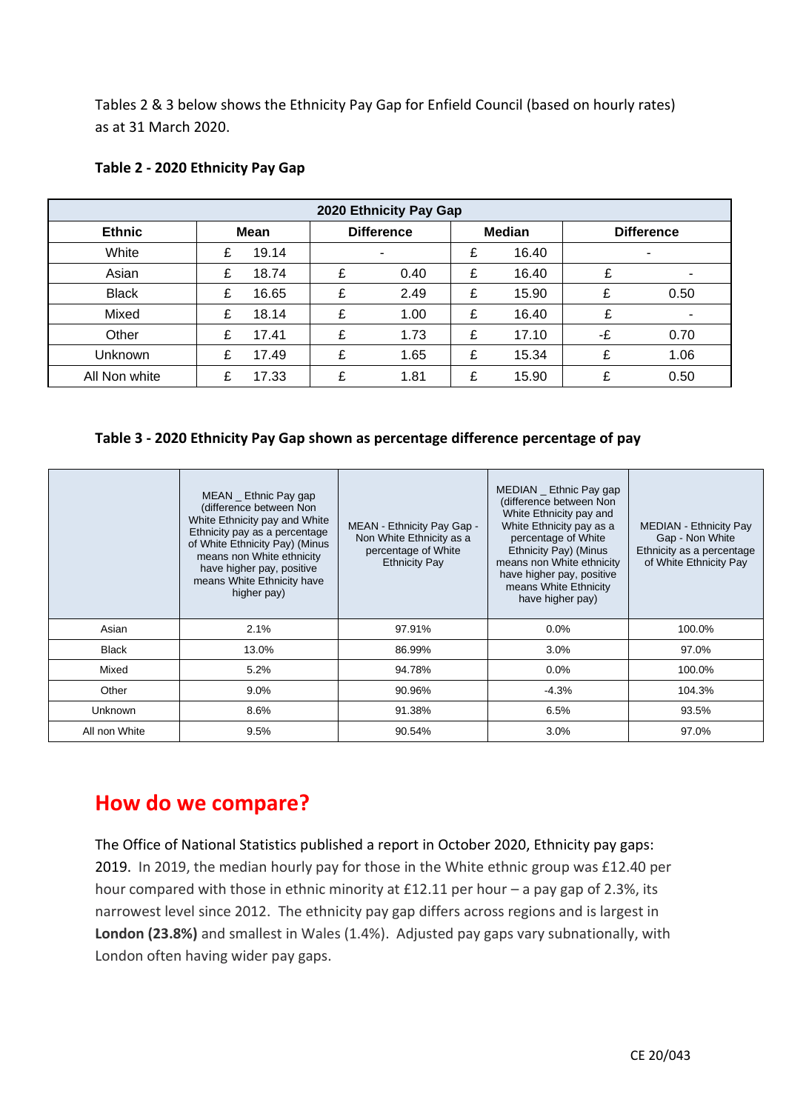Tables 2 & 3 below shows the Ethnicity Pay Gap for Enfield Council (based on hourly rates) as at 31 March 2020.

| 2020 Ethnicity Pay Gap |      |       |                   |      |               |       |                   |                          |
|------------------------|------|-------|-------------------|------|---------------|-------|-------------------|--------------------------|
| <b>Ethnic</b>          | Mean |       | <b>Difference</b> |      | <b>Median</b> |       | <b>Difference</b> |                          |
| White                  | £    | 19.14 |                   |      | £             | 16.40 |                   | $\overline{\phantom{0}}$ |
| Asian                  | £    | 18.74 | £                 | 0.40 | £             | 16.40 | ¢                 | ۰                        |
| <b>Black</b>           | £    | 16.65 | £                 | 2.49 | £             | 15.90 |                   | 0.50                     |
| Mixed                  | £    | 18.14 | £                 | 1.00 | £             | 16.40 | ¢                 | $\overline{\phantom{a}}$ |
| Other                  | £    | 17.41 | £                 | 1.73 | £             | 17.10 | -£                | 0.70                     |
| Unknown                | ¢    | 17.49 | £                 | 1.65 | £             | 15.34 | £                 | 1.06                     |
| All Non white          | ¢    | 17.33 | £                 | 1.81 | £             | 15.90 | £                 | 0.50                     |

### **Table 2 - 2020 Ethnicity Pay Gap**

#### **Table 3 - 2020 Ethnicity Pay Gap shown as percentage difference percentage of pay**

|               | $MEAN$ Ethnic Pay gap<br>(difference between Non<br>White Ethnicity pay and White<br>Ethnicity pay as a percentage<br>of White Ethnicity Pay) (Minus<br>means non White ethnicity<br>have higher pay, positive<br>means White Ethnicity have<br>higher pay) | MEAN - Ethnicity Pay Gap -<br>Non White Ethnicity as a<br>percentage of White<br><b>Ethnicity Pay</b> | MEDIAN _ Ethnic Pay gap<br>(difference between Non<br>White Ethnicity pay and<br>White Ethnicity pay as a<br>percentage of White<br>Ethnicity Pay) (Minus<br>means non White ethnicity<br>have higher pay, positive<br>means White Ethnicity<br>have higher pay) | <b>MEDIAN - Ethnicity Pay</b><br>Gap - Non White<br>Ethnicity as a percentage<br>of White Ethnicity Pay |
|---------------|-------------------------------------------------------------------------------------------------------------------------------------------------------------------------------------------------------------------------------------------------------------|-------------------------------------------------------------------------------------------------------|------------------------------------------------------------------------------------------------------------------------------------------------------------------------------------------------------------------------------------------------------------------|---------------------------------------------------------------------------------------------------------|
| Asian         | 2.1%                                                                                                                                                                                                                                                        | 97.91%                                                                                                | $0.0\%$                                                                                                                                                                                                                                                          | 100.0%                                                                                                  |
| <b>Black</b>  | 13.0%                                                                                                                                                                                                                                                       | 86.99%                                                                                                | 3.0%                                                                                                                                                                                                                                                             | 97.0%                                                                                                   |
| Mixed         | 5.2%                                                                                                                                                                                                                                                        | 94.78%                                                                                                | 0.0%                                                                                                                                                                                                                                                             | 100.0%                                                                                                  |
| Other         | 9.0%                                                                                                                                                                                                                                                        | 90.96%                                                                                                | $-4.3%$                                                                                                                                                                                                                                                          | 104.3%                                                                                                  |
| Unknown       | 8.6%                                                                                                                                                                                                                                                        | 91.38%                                                                                                | 6.5%                                                                                                                                                                                                                                                             | 93.5%                                                                                                   |
| All non White | 9.5%                                                                                                                                                                                                                                                        | 90.54%                                                                                                | 3.0%                                                                                                                                                                                                                                                             | 97.0%                                                                                                   |

# **How do we compare?**

The Office of National Statistics published a report in October 2020, Ethnicity pay gaps: 2019. In 2019, the median hourly pay for those in the White ethnic group was £12.40 per hour compared with those in ethnic minority at £12.11 per hour – a pay gap of 2.3%, its narrowest level since 2012. The ethnicity pay gap differs across regions and is largest in **London (23.8%)** and smallest in Wales (1.4%). Adjusted pay gaps vary subnationally, with London often having wider pay gaps.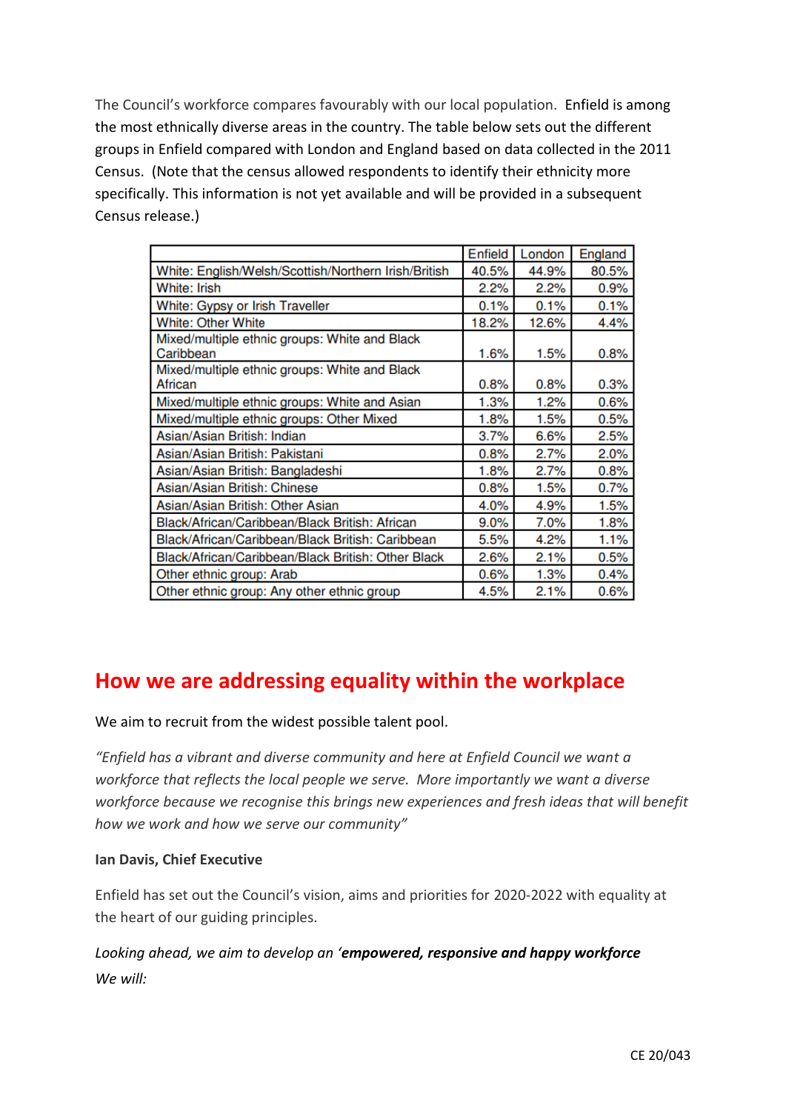The Council's workforce compares favourably with our local population. Enfield is among the most ethnically diverse areas in the country. The table below sets out the different groups in Enfield compared with London and England based on data collected in the 2011 Census. (Note that the census allowed respondents to identify their ethnicity more specifically. This information is not yet available and will be provided in a subsequent Census release.)

|                                                            | Enfield | London | England |
|------------------------------------------------------------|---------|--------|---------|
| White: English/Welsh/Scottish/Northern Irish/British       | 40.5%   | 44.9%  | 80.5%   |
| White: Irish                                               | 2.2%    | 2.2%   | 0.9%    |
| White: Gypsy or Irish Traveller                            | 0.1%    | 0.1%   | 0.1%    |
| <b>White: Other White</b>                                  | 18.2%   | 12.6%  | 4.4%    |
| Mixed/multiple ethnic groups: White and Black<br>Caribbean | 1.6%    | 1.5%   | 0.8%    |
| Mixed/multiple ethnic groups: White and Black<br>African   | 0.8%    | 0.8%   | 0.3%    |
| Mixed/multiple ethnic groups: White and Asian              | 1.3%    | 1.2%   | 0.6%    |
| Mixed/multiple ethnic groups: Other Mixed                  | 1.8%    | 1.5%   | 0.5%    |
| Asian/Asian British: Indian                                | 3.7%    | 6.6%   | 2.5%    |
| Asian/Asian British: Pakistani                             | 0.8%    | 2.7%   | 2.0%    |
| Asian/Asian British: Bangladeshi                           | 1.8%    | 2.7%   | 0.8%    |
| Asian/Asian British: Chinese                               | 0.8%    | 1.5%   | 0.7%    |
| Asian/Asian British: Other Asian                           | 4.0%    | 4.9%   | 1.5%    |
| Black/African/Caribbean/Black British: African             | $9.0\%$ | 7.0%   | 1.8%    |
| Black/African/Caribbean/Black British: Caribbean           | 5.5%    | 4.2%   | 1.1%    |
| Black/African/Caribbean/Black British: Other Black         | 2.6%    | 2.1%   | 0.5%    |
| Other ethnic group: Arab                                   | 0.6%    | 1.3%   | 0.4%    |
| Other ethnic group: Any other ethnic group                 | 4.5%    | 2.1%   | 0.6%    |

# **How we are addressing equality within the workplace**

We aim to recruit from the widest possible talent pool.

*"Enfield has a vibrant and diverse community and here at Enfield Council we want a workforce that reflects the local people we serve. More importantly we want a diverse workforce because we recognise this brings new experiences and fresh ideas that will benefit how we work and how we serve our community"*

# **Ian Davis, Chief Executive**

Enfield has set out the Council's vision, aims and priorities for 2020-2022 with equality at the heart of our guiding principles.

*Looking ahead, we aim to develop an 'empowered, responsive and happy workforce We will:*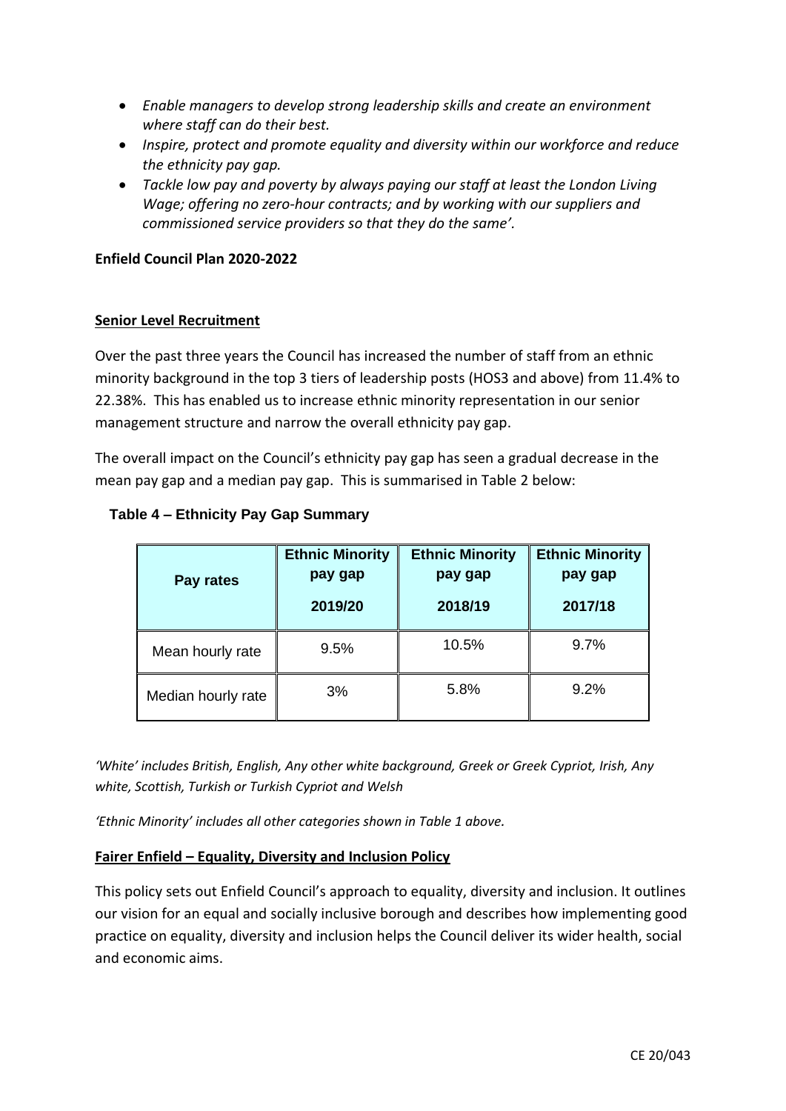- *Enable managers to develop strong leadership skills and create an environment where staff can do their best.*
- *Inspire, protect and promote equality and diversity within our workforce and reduce the ethnicity pay gap.*
- *Tackle low pay and poverty by always paying our staff at least the London Living Wage; offering no zero-hour contracts; and by working with our suppliers and commissioned service providers so that they do the same'.*

#### **Enfield Council Plan 2020-2022**

### **Senior Level Recruitment**

Over the past three years the Council has increased the number of staff from an ethnic minority background in the top 3 tiers of leadership posts (HOS3 and above) from 11.4% to 22.38%. This has enabled us to increase ethnic minority representation in our senior management structure and narrow the overall ethnicity pay gap.

The overall impact on the Council's ethnicity pay gap has seen a gradual decrease in the mean pay gap and a median pay gap. This is summarised in Table 2 below:

| Pay rates          | <b>Ethnic Minority</b><br>pay gap<br>2019/20 | <b>Ethnic Minority</b><br>pay gap<br>2018/19 | <b>Ethnic Minority</b><br>pay gap<br>2017/18 |  |
|--------------------|----------------------------------------------|----------------------------------------------|----------------------------------------------|--|
| Mean hourly rate   | 9.5%                                         | 10.5%                                        | 9.7%                                         |  |
| Median hourly rate | 3%                                           | 5.8%                                         | 9.2%                                         |  |

# **Table 4 – Ethnicity Pay Gap Summary**

*'White' includes British, English, Any other white background, Greek or Greek Cypriot, Irish, Any white, Scottish, Turkish or Turkish Cypriot and Welsh*

*'Ethnic Minority' includes all other categories shown in Table 1 above.*

#### **Fairer Enfield – Equality, Diversity and Inclusion Policy**

This policy sets out Enfield Council's approach to equality, diversity and inclusion. It outlines our vision for an equal and socially inclusive borough and describes how implementing good practice on equality, diversity and inclusion helps the Council deliver its wider health, social and economic aims.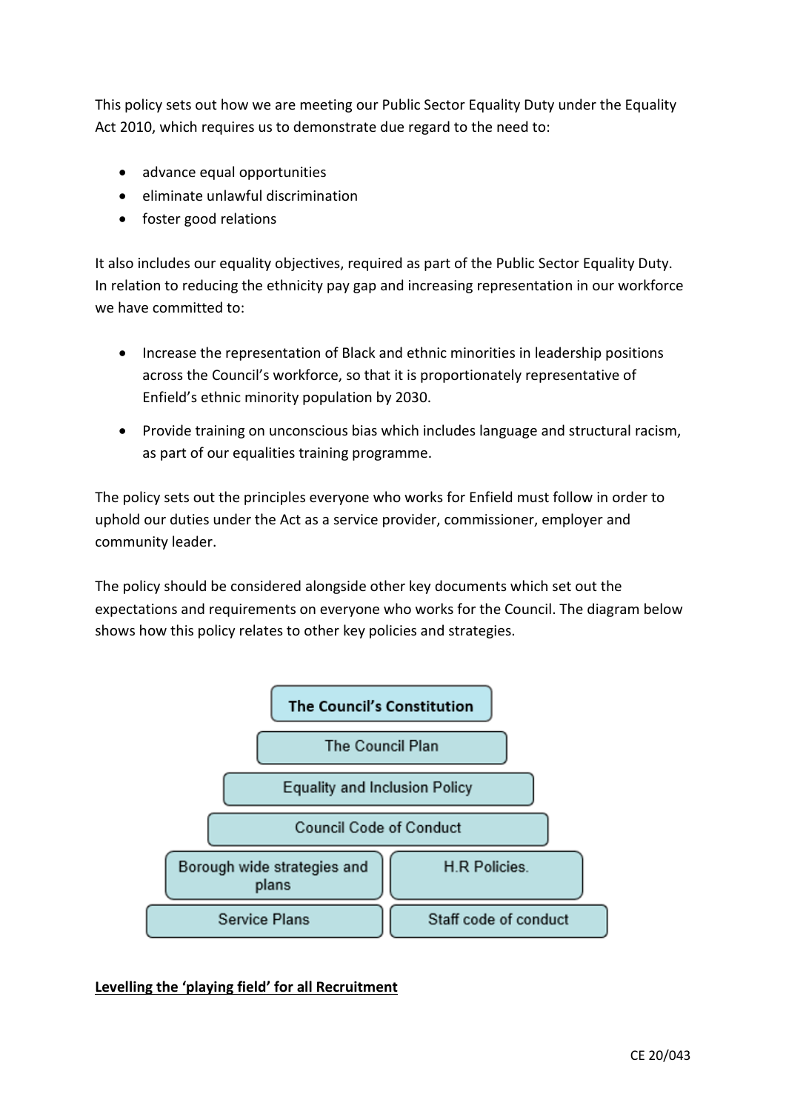This policy sets out how we are meeting our Public Sector Equality Duty under the Equality Act 2010, which requires us to demonstrate due regard to the need to:

- advance equal opportunities
- eliminate unlawful discrimination
- foster good relations

It also includes our equality objectives, required as part of the Public Sector Equality Duty. In relation to reducing the ethnicity pay gap and increasing representation in our workforce we have committed to:

- Increase the representation of Black and ethnic minorities in leadership positions across the Council's workforce, so that it is proportionately representative of Enfield's ethnic minority population by 2030.
- Provide training on unconscious bias which includes language and structural racism, as part of our equalities training programme.

The policy sets out the principles everyone who works for Enfield must follow in order to uphold our duties under the Act as a service provider, commissioner, employer and community leader.

The policy should be considered alongside other key documents which set out the expectations and requirements on everyone who works for the Council. The diagram below shows how this policy relates to other key policies and strategies.



**Levelling the 'playing field' for all Recruitment**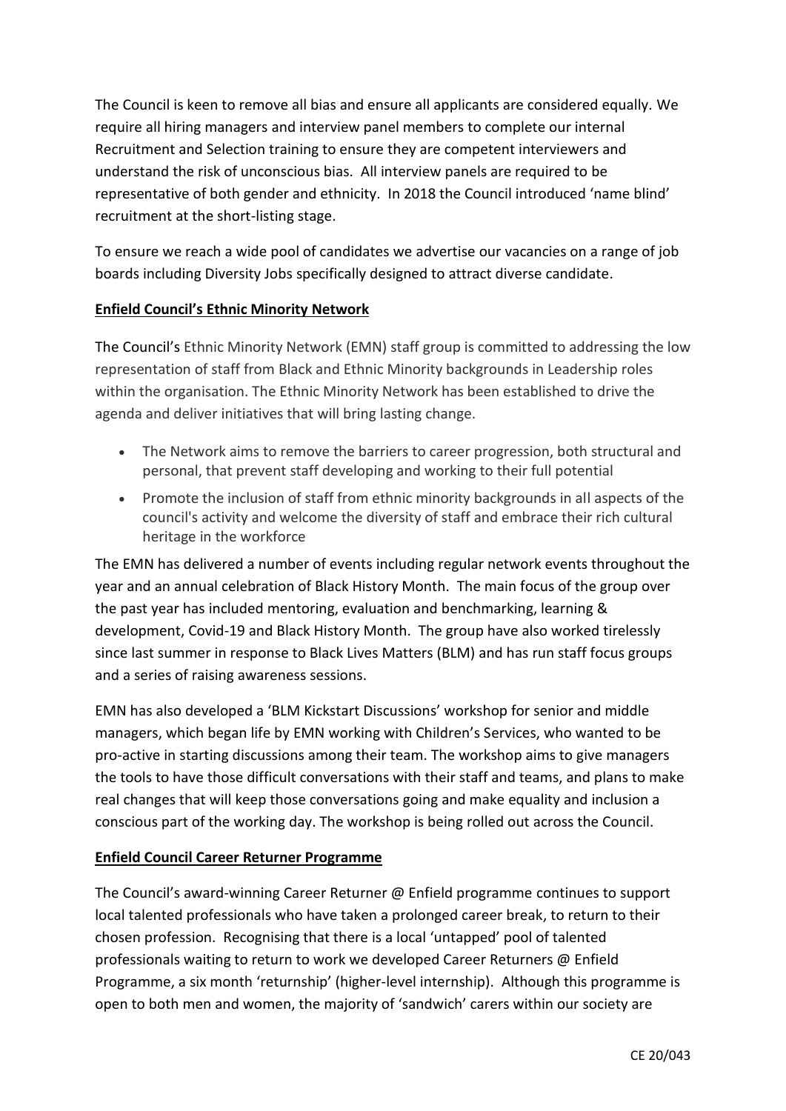The Council is keen to remove all bias and ensure all applicants are considered equally. We require all hiring managers and interview panel members to complete our internal Recruitment and Selection training to ensure they are competent interviewers and understand the risk of unconscious bias. All interview panels are required to be representative of both gender and ethnicity. In 2018 the Council introduced 'name blind' recruitment at the short-listing stage.

To ensure we reach a wide pool of candidates we advertise our vacancies on a range of job boards including Diversity Jobs specifically designed to attract diverse candidate.

# **Enfield Council's Ethnic Minority Network**

The Council's Ethnic Minority Network (EMN) staff group is committed to addressing the low representation of staff from Black and Ethnic Minority backgrounds in Leadership roles within the organisation. The Ethnic Minority Network has been established to drive the agenda and deliver initiatives that will bring lasting change.

- The Network aims to remove the barriers to career progression, both structural and personal, that prevent staff developing and working to their full potential
- Promote the inclusion of staff from ethnic minority backgrounds in all aspects of the council's activity and welcome the diversity of staff and embrace their rich cultural heritage in the workforce

The EMN has delivered a number of events including regular network events throughout the year and an annual celebration of Black History Month. The main focus of the group over the past year has included mentoring, evaluation and benchmarking, learning & development, Covid-19 and Black History Month. The group have also worked tirelessly since last summer in response to Black Lives Matters (BLM) and has run staff focus groups and a series of raising awareness sessions.

EMN has also developed a 'BLM Kickstart Discussions' workshop for senior and middle managers, which began life by EMN working with Children's Services, who wanted to be pro-active in starting discussions among their team. The workshop aims to give managers the tools to have those difficult conversations with their staff and teams, and plans to make real changes that will keep those conversations going and make equality and inclusion a conscious part of the working day. The workshop is being rolled out across the Council.

# **Enfield Council Career Returner Programme**

The Council's award-winning Career Returner @ Enfield programme continues to support local talented professionals who have taken a prolonged career break, to return to their chosen profession. Recognising that there is a local 'untapped' pool of talented professionals waiting to return to work we developed Career Returners @ Enfield Programme, a six month 'returnship' (higher-level internship). Although this programme is open to both men and women, the majority of 'sandwich' carers within our society are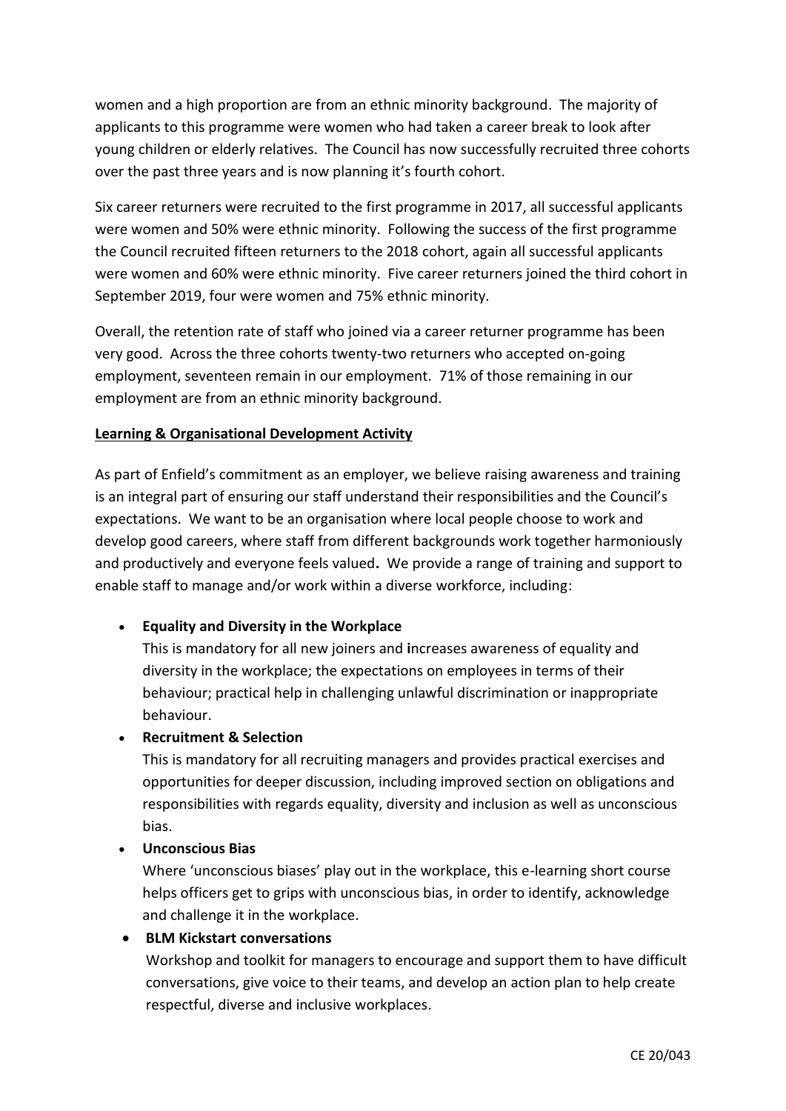women and a high proportion are from an ethnic minority background. The majority of applicants to this programme were women who had taken a career break to look after young children or elderly relatives. The Council has now successfully recruited three cohorts over the past three years and is now planning it's fourth cohort.

Six career returners were recruited to the first programme in 2017, all successful applicants were women and 50% were ethnic minority. Following the success of the first programme the Council recruited fifteen returners to the 2018 cohort, again all successful applicants were women and 60% were ethnic minority. Five career returners joined the third cohort in September 2019, four were women and 75% ethnic minority.

Overall, the retention rate of staff who joined via a career returner programme has been very good. Across the three cohorts twenty-two returners who accepted on-going employment, seventeen remain in our employment. 71% of those remaining in our employment are from an ethnic minority background.

# **Learning & Organisational Development Activity**

As part of Enfield's commitment as an employer, we believe raising awareness and training is an integral part of ensuring our staff understand their responsibilities and the Council's expectations. We want to be an organisation where local people choose to work and develop good careers, where staff from different backgrounds work together harmoniously and productively and everyone feels valued**.** We provide a range of training and support to enable staff to manage and/or work within a diverse workforce, including:

#### • **Equality and Diversity in the Workplace**

This is mandatory for all new joiners and **i**ncreases awareness of equality and diversity in the workplace; the expectations on employees in terms of their behaviour; practical help in challenging unlawful discrimination or inappropriate behaviour.

#### • **Recruitment & Selection**

This is mandatory for all recruiting managers and provides practical exercises and opportunities for deeper discussion, including improved section on obligations and responsibilities with regards equality, diversity and inclusion as well as unconscious bias.

#### • **Unconscious Bias**

Where 'unconscious biases' play out in the workplace, this e-learning short course helps officers get to grips with unconscious bias, in order to identify, acknowledge and challenge it in the workplace.

#### • **BLM Kickstart conversations**

Workshop and toolkit for managers to encourage and support them to have difficult conversations, give voice to their teams, and develop an action plan to help create respectful, diverse and inclusive workplaces.